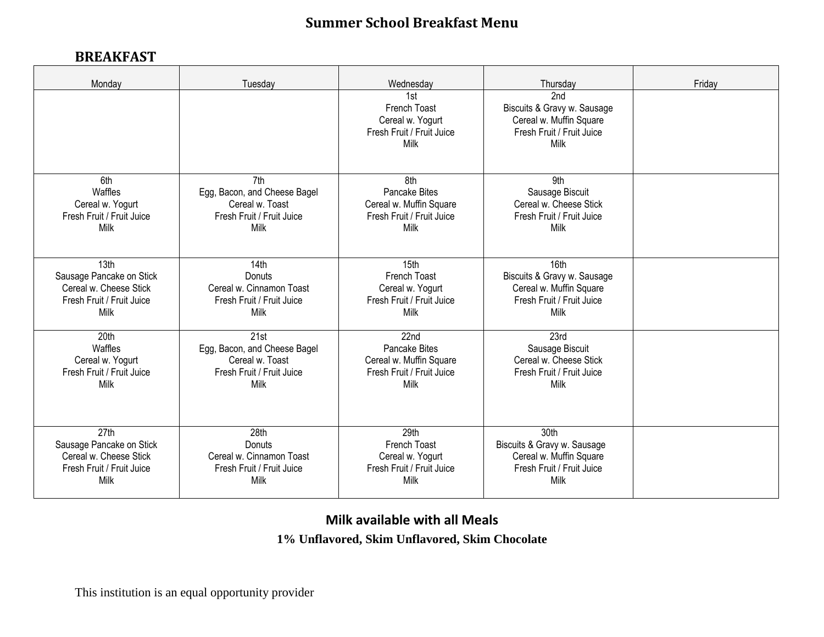## **Summer School Breakfast Menu**

## **BREAKFAST**

| Monday                    | Tuesday                      | Wednesday                                                                    | Thursday                                                                                                       | Friday |
|---------------------------|------------------------------|------------------------------------------------------------------------------|----------------------------------------------------------------------------------------------------------------|--------|
|                           |                              | 1st<br>French Toast<br>Cereal w. Yogurt<br>Fresh Fruit / Fruit Juice<br>Milk | 2 <sub>nd</sub><br>Biscuits & Gravy w. Sausage<br>Cereal w. Muffin Square<br>Fresh Fruit / Fruit Juice<br>Milk |        |
| 6th                       | 7th                          | 8th                                                                          | 9th                                                                                                            |        |
| Waffles                   | Egg, Bacon, and Cheese Bagel | Pancake Bites                                                                | Sausage Biscuit                                                                                                |        |
| Cereal w. Yogurt          | Cereal w. Toast              | Cereal w. Muffin Square                                                      | Cereal w. Cheese Stick                                                                                         |        |
| Fresh Fruit / Fruit Juice | Fresh Fruit / Fruit Juice    | Fresh Fruit / Fruit Juice                                                    | Fresh Fruit / Fruit Juice                                                                                      |        |
| Milk                      | Milk                         | Milk                                                                         | Milk                                                                                                           |        |
| 13th                      | 14th                         | 15th                                                                         | 16th                                                                                                           |        |
| Sausage Pancake on Stick  | Donuts                       | French Toast                                                                 | Biscuits & Gravy w. Sausage                                                                                    |        |
| Cereal w. Cheese Stick    | Cereal w. Cinnamon Toast     | Cereal w. Yogurt                                                             | Cereal w. Muffin Square                                                                                        |        |
| Fresh Fruit / Fruit Juice | Fresh Fruit / Fruit Juice    | Fresh Fruit / Fruit Juice                                                    | Fresh Fruit / Fruit Juice                                                                                      |        |
| Milk                      | Milk                         | Milk                                                                         | Milk                                                                                                           |        |
| 20th                      | $\overline{21st}$            | 22nd                                                                         | 23rd                                                                                                           |        |
| Waffles                   | Egg, Bacon, and Cheese Bagel | Pancake Bites                                                                | Sausage Biscuit                                                                                                |        |
| Cereal w. Yogurt          | Cereal w. Toast              | Cereal w. Muffin Square                                                      | Cereal w. Cheese Stick                                                                                         |        |
| Fresh Fruit / Fruit Juice | Fresh Fruit / Fruit Juice    | Fresh Fruit / Fruit Juice                                                    | Fresh Fruit / Fruit Juice                                                                                      |        |
| Milk                      | Milk                         | Milk                                                                         | Milk                                                                                                           |        |
| 27th                      | 28th                         | 29th                                                                         | 30th                                                                                                           |        |
| Sausage Pancake on Stick  | Donuts                       | French Toast                                                                 | Biscuits & Gravy w. Sausage                                                                                    |        |
| Cereal w. Cheese Stick    | Cereal w. Cinnamon Toast     | Cereal w. Yogurt                                                             | Cereal w. Muffin Square                                                                                        |        |
| Fresh Fruit / Fruit Juice | Fresh Fruit / Fruit Juice    | Fresh Fruit / Fruit Juice                                                    | Fresh Fruit / Fruit Juice                                                                                      |        |
| Milk                      | Milk                         | Milk                                                                         | Milk                                                                                                           |        |

## **Milk available with all Meals**

**1% Unflavored, Skim Unflavored, Skim Chocolate**